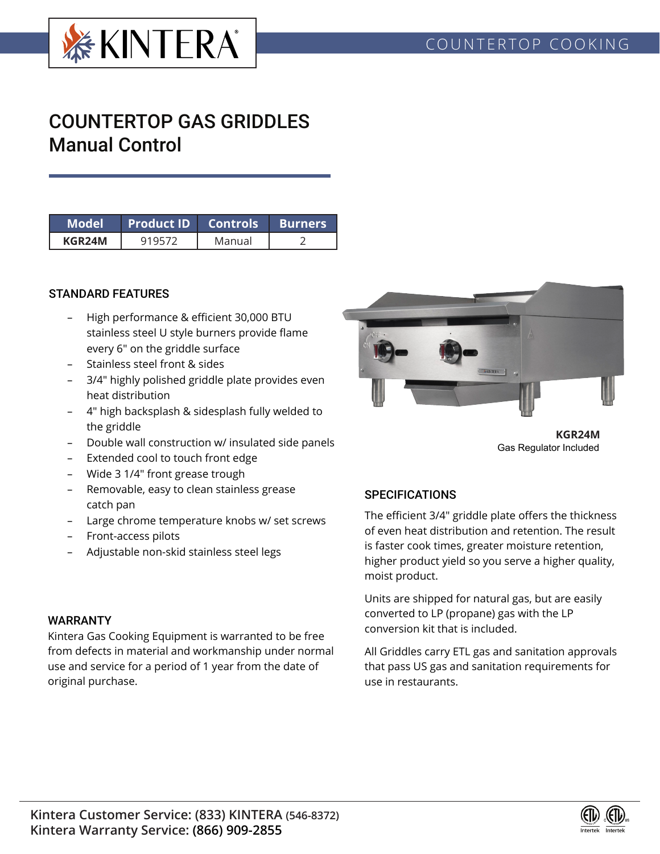

# COUNTERTOP GAS GRIDDLES Manual Control

| Model  | Product ID  Controls . |        | l Burners |  |  |
|--------|------------------------|--------|-----------|--|--|
| KGR24M |                        | Manual |           |  |  |

### STANDARD FEATURES

- High performance & efficient 30,000 BTU stainless steel U style burners provide flame every 6" on the griddle surface
- Stainless steel front & sides
- 3/4" highly polished griddle plate provides even heat distribution
- 4" high backsplash & sidesplash fully welded to the griddle
- Double wall construction w/ insulated side panels
- Extended cool to touch front edge
- Wide 3 1/4" front grease trough
- Removable, easy to clean stainless grease catch pan
- Large chrome temperature knobs w/ set screws
- Front-access pilots
- Adjustable non-skid stainless steel legs

# **OKNTERA**

**KGR24M** Gas Regulator Included

## **SPECIFICATIONS**

The efficient 3/4" griddle plate offers the thickness of even heat distribution and retention. The result is faster cook times, greater moisture retention, higher product yield so you serve a higher quality, moist product.

Units are shipped for natural gas, but are easily converted to LP (propane) gas with the LP conversion kit that is included.

All Griddles carry ETL gas and sanitation approvals that pass US gas and sanitation requirements for use in restaurants.

### WARRANTY

Kintera Gas Cooking Equipment is warranted to be free from defects in material and workmanship under normal use and service for a period of 1 year from the date of original purchase.